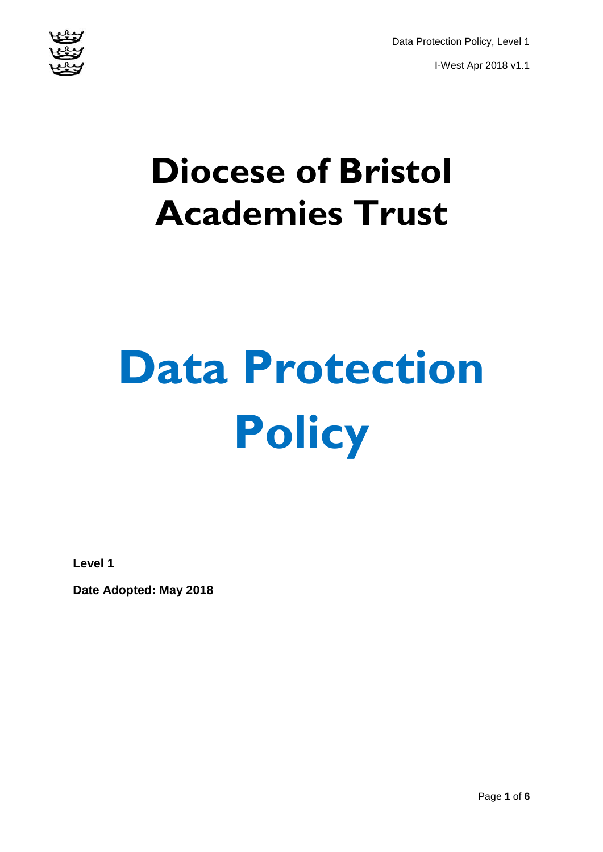Data Protection Policy, Level 1 I-West Apr 2018 v1.1



# **Diocese of Bristol Academies Trust**

# **Data Protection Policy**

**Level 1**

**Date Adopted: May 2018**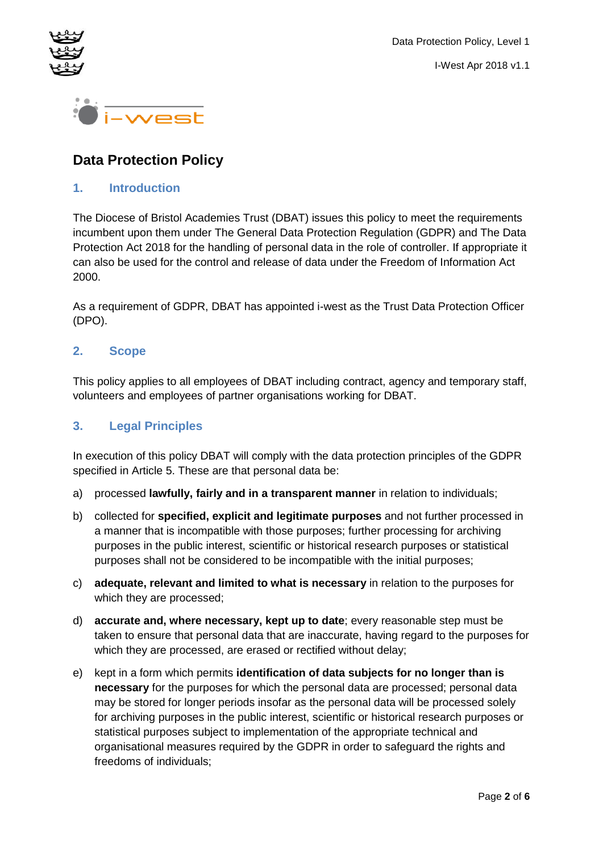



## **Data Protection Policy**

#### **1. Introduction**

The Diocese of Bristol Academies Trust (DBAT) issues this policy to meet the requirements incumbent upon them under The General Data Protection Regulation (GDPR) and The Data Protection Act 2018 for the handling of personal data in the role of controller. If appropriate it can also be used for the control and release of data under the Freedom of Information Act 2000.

As a requirement of GDPR, DBAT has appointed i-west as the Trust Data Protection Officer (DPO).

#### **2. Scope**

This policy applies to all employees of DBAT including contract, agency and temporary staff, volunteers and employees of partner organisations working for DBAT.

#### **3. Legal Principles**

In execution of this policy DBAT will comply with the data protection principles of the GDPR specified in Article 5. These are that personal data be:

- a) processed **lawfully, fairly and in a transparent manner** in relation to individuals;
- b) collected for **specified, explicit and legitimate purposes** and not further processed in a manner that is incompatible with those purposes; further processing for archiving purposes in the public interest, scientific or historical research purposes or statistical purposes shall not be considered to be incompatible with the initial purposes;
- c) **adequate, relevant and limited to what is necessary** in relation to the purposes for which they are processed;
- d) **accurate and, where necessary, kept up to date**; every reasonable step must be taken to ensure that personal data that are inaccurate, having regard to the purposes for which they are processed, are erased or rectified without delay;
- e) kept in a form which permits **identification of data subjects for no longer than is necessary** for the purposes for which the personal data are processed; personal data may be stored for longer periods insofar as the personal data will be processed solely for archiving purposes in the public interest, scientific or historical research purposes or statistical purposes subject to implementation of the appropriate technical and organisational measures required by the GDPR in order to safeguard the rights and freedoms of individuals;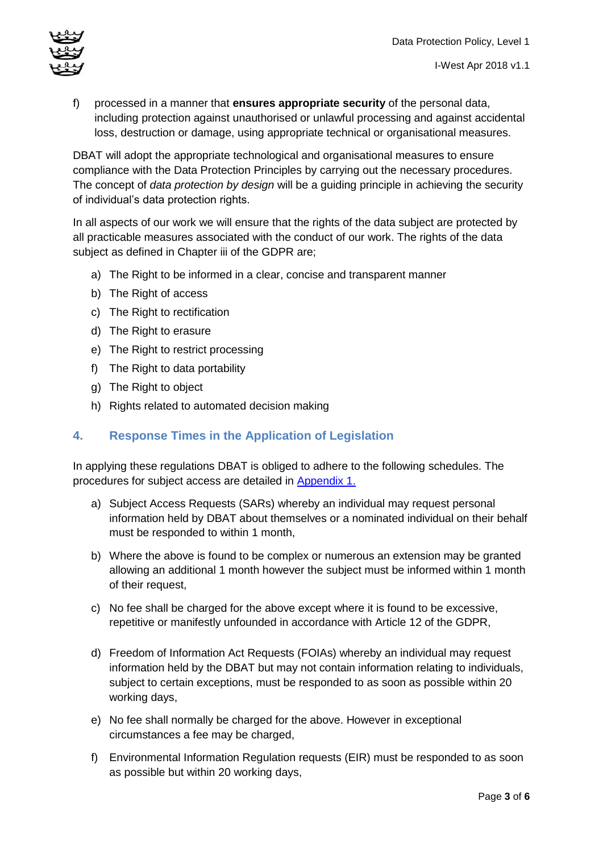I-West Apr 2018 v1.1



f) processed in a manner that **ensures appropriate security** of the personal data,

including protection against unauthorised or unlawful processing and against accidental loss, destruction or damage, using appropriate technical or organisational measures.

DBAT will adopt the appropriate technological and organisational measures to ensure compliance with the Data Protection Principles by carrying out the necessary procedures. The concept of *data protection by design* will be a guiding principle in achieving the security of individual's data protection rights.

In all aspects of our work we will ensure that the rights of the data subject are protected by all practicable measures associated with the conduct of our work. The rights of the data subject as defined in Chapter iii of the GDPR are;

- a) The Right to be informed in a clear, concise and transparent manner
- b) The Right of access
- c) The Right to rectification
- d) The Right to erasure
- e) The Right to restrict processing
- f) The Right to data portability
- g) The Right to object
- h) Rights related to automated decision making

#### **4. Response Times in the Application of Legislation**

In applying these regulations DBAT is obliged to adhere to the following schedules. The procedures for subject access are detailed in [Appendix 1.](#page-5-0)

- a) Subject Access Requests (SARs) whereby an individual may request personal information held by DBAT about themselves or a nominated individual on their behalf must be responded to within 1 month,
- b) Where the above is found to be complex or numerous an extension may be granted allowing an additional 1 month however the subject must be informed within 1 month of their request,
- c) No fee shall be charged for the above except where it is found to be excessive, repetitive or manifestly unfounded in accordance with Article 12 of the GDPR,
- d) Freedom of Information Act Requests (FOIAs) whereby an individual may request information held by the DBAT but may not contain information relating to individuals, subject to certain exceptions, must be responded to as soon as possible within 20 working days,
- e) No fee shall normally be charged for the above. However in exceptional circumstances a fee may be charged,
- f) Environmental Information Regulation requests (EIR) must be responded to as soon as possible but within 20 working days,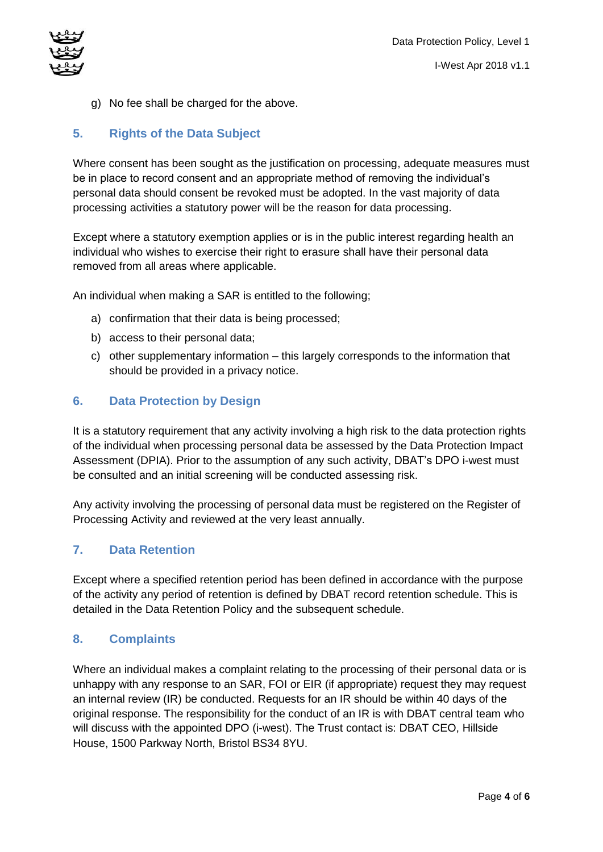

g) No fee shall be charged for the above.

#### **5. Rights of the Data Subject**

Where consent has been sought as the justification on processing, adequate measures must be in place to record consent and an appropriate method of removing the individual's personal data should consent be revoked must be adopted. In the vast majority of data processing activities a statutory power will be the reason for data processing.

Except where a statutory exemption applies or is in the public interest regarding health an individual who wishes to exercise their right to erasure shall have their personal data removed from all areas where applicable.

An individual when making a SAR is entitled to the following;

- a) confirmation that their data is being processed;
- b) access to their personal data;
- c) other supplementary information this largely corresponds to the information that should be provided in a privacy notice.

#### **6. Data Protection by Design**

It is a statutory requirement that any activity involving a high risk to the data protection rights of the individual when processing personal data be assessed by the Data Protection Impact Assessment (DPIA). Prior to the assumption of any such activity, DBAT's DPO i-west must be consulted and an initial screening will be conducted assessing risk.

Any activity involving the processing of personal data must be registered on the Register of Processing Activity and reviewed at the very least annually.

#### **7. Data Retention**

Except where a specified retention period has been defined in accordance with the purpose of the activity any period of retention is defined by DBAT record retention schedule. This is detailed in the Data Retention Policy and the subsequent schedule.

#### **8. Complaints**

Where an individual makes a complaint relating to the processing of their personal data or is unhappy with any response to an SAR, FOI or EIR (if appropriate) request they may request an internal review (IR) be conducted. Requests for an IR should be within 40 days of the original response. The responsibility for the conduct of an IR is with DBAT central team who will discuss with the appointed DPO (i-west). The Trust contact is: DBAT CEO, Hillside House, 1500 Parkway North, Bristol BS34 8YU.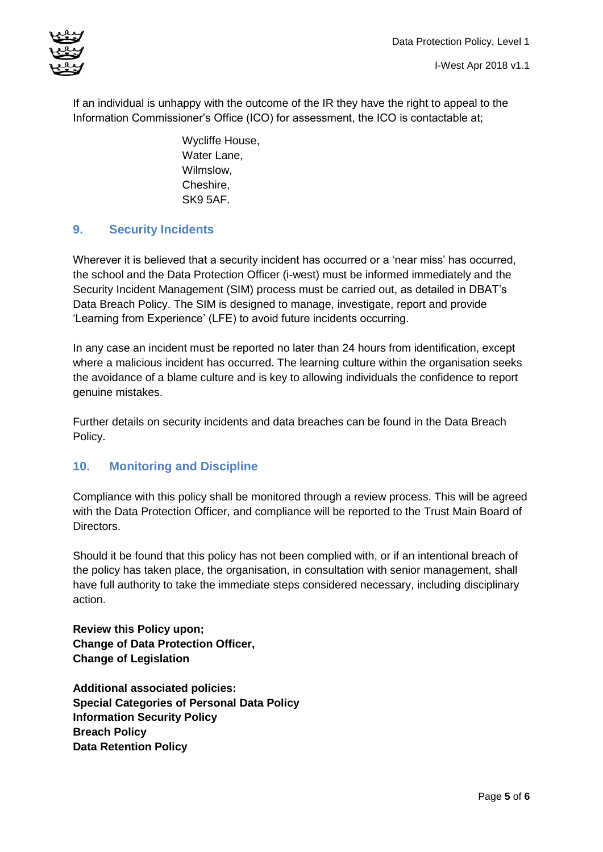

If an individual is unhappy with the outcome of the IR they have the right to appeal to the Information Commissioner's Office (ICO) for assessment, the ICO is contactable at;

> Wycliffe House, Water Lane, Wilmslow, Cheshire, SK9 5AF.

#### **9. Security Incidents**

Wherever it is believed that a security incident has occurred or a 'near miss' has occurred, the school and the Data Protection Officer (i-west) must be informed immediately and the Security Incident Management (SIM) process must be carried out, as detailed in DBAT's Data Breach Policy. The SIM is designed to manage, investigate, report and provide 'Learning from Experience' (LFE) to avoid future incidents occurring.

In any case an incident must be reported no later than 24 hours from identification, except where a malicious incident has occurred. The learning culture within the organisation seeks the avoidance of a blame culture and is key to allowing individuals the confidence to report genuine mistakes.

Further details on security incidents and data breaches can be found in the Data Breach Policy.

#### **10. Monitoring and Discipline**

Compliance with this policy shall be monitored through a review process. This will be agreed with the Data Protection Officer, and compliance will be reported to the Trust Main Board of Directors.

Should it be found that this policy has not been complied with, or if an intentional breach of the policy has taken place, the organisation, in consultation with senior management, shall have full authority to take the immediate steps considered necessary, including disciplinary action.

**Review this Policy upon; Change of Data Protection Officer, Change of Legislation**

**Additional associated policies: Special Categories of Personal Data Policy Information Security Policy Breach Policy Data Retention Policy**